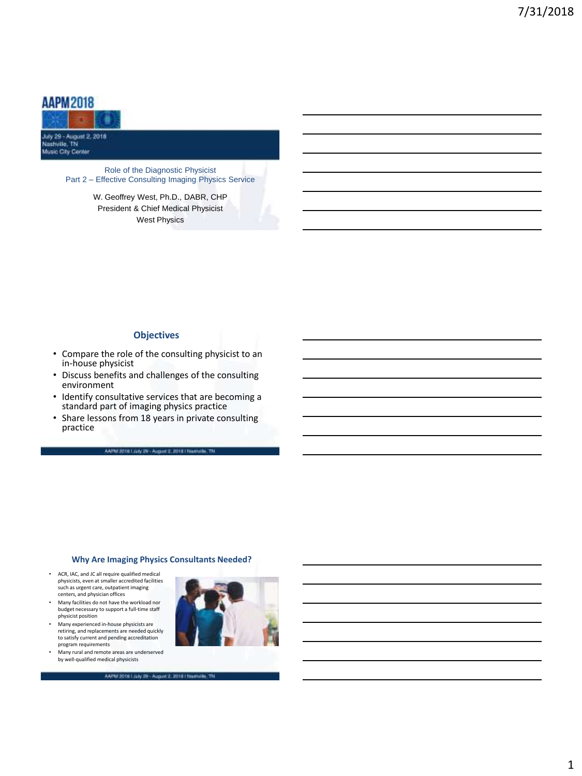# **AAPM2018**



Role of the Diagnostic Physicist Part 2 – Effective Consulting Imaging Physics Service

> W. Geoffrey West, Ph.D., DABR, CHP President & Chief Medical Physicist West Physics

# **Objectives**

- Compare the role of the consulting physicist to an in-house physicist
- Discuss benefits and challenges of the consulting environment
- Identify consultative services that are becoming a standard part of imaging physics practice
- Share lessons from 18 years in private consulting practice

AAPM 2018 Ltdy 29 - August 2, 2018 / Nathelle, TN

#### **Why Are Imaging Physics Consultants Needed?**

- ACR, IAC, and JC all require qualified medical physicists, even at smaller accredited facilities such as urgent care, outpatient imaging centers, and physician offices
- Many facilities do not have the workload nor budget necessary to support a full-time staff physicist position
- Many experienced in-house physicists are retiring, and replacements are needed quickly to satisfy current and pending accreditation program requirements
- Many rural and remote areas are underserved by well-qualified medical physicists



AAPM 2018 Ltdy 29 - August 2, 2018 | Natherly TN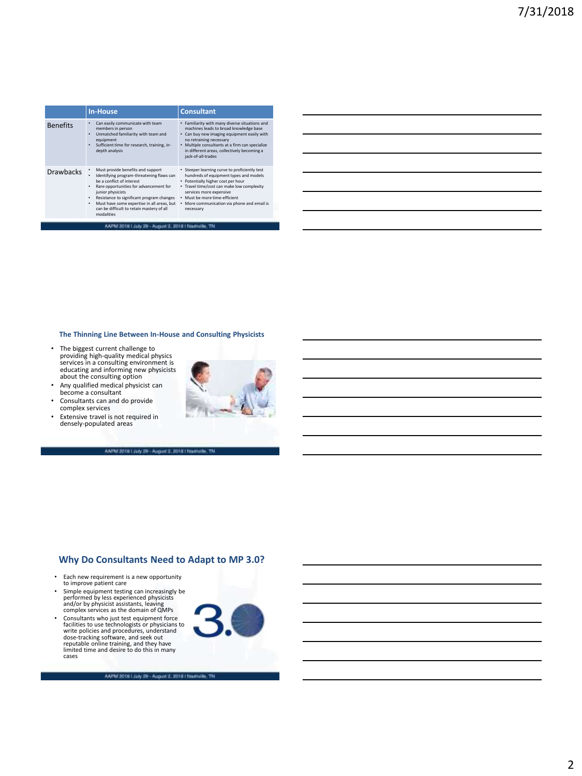|                  | <b>In-House</b>                                                                                                                                                                                                                                                                                                                       | <b>Consultant</b>                                                                                                                                                                                                                                                                                   |
|------------------|---------------------------------------------------------------------------------------------------------------------------------------------------------------------------------------------------------------------------------------------------------------------------------------------------------------------------------------|-----------------------------------------------------------------------------------------------------------------------------------------------------------------------------------------------------------------------------------------------------------------------------------------------------|
| <b>Benefits</b>  | Can easily communicate with team<br>members in person<br>Unmatched familiarity with team and<br>٠<br>equipment<br>Sufficient time for research, training, in-<br>depth analysis                                                                                                                                                       | Familiarity with many diverse situations and<br>٠<br>machines leads to broad knowledge base<br>• Can buy new imaging equipment easily with<br>no retraining necessary<br>• Multiple consultants at a firm can specialize<br>in different areas, collectively becoming a<br>jack-of-all-trades       |
| <b>Drawbacks</b> | Must provide benefits and support<br>Identifying program-threatening flaws can<br>be a conflict of interest<br>Rare opportunities for advancement for<br>junior physicists<br>Resistance to significant program changes<br>Must have some expertise in all areas, but<br>٠<br>can be difficult to retain mastery of all<br>modalities | • Steeper learning curve to proficiently test<br>hundreds of equipment types and models<br>• Potentially higher cost per hour<br>· Travel time/cost can make low complexity<br>services more expensive<br>. Must be more time-efficient<br>• More communication via phone and email is<br>necessary |

| <u> The Communication of the Communication of the Communication of the Communication of the Communication of the Communication of the Communication of the Communication of the Communication of the Communication of the Commun</u> |                                                                                                                       |  |  |
|--------------------------------------------------------------------------------------------------------------------------------------------------------------------------------------------------------------------------------------|-----------------------------------------------------------------------------------------------------------------------|--|--|
| the control of the control of the control of the control of the control of                                                                                                                                                           |                                                                                                                       |  |  |
|                                                                                                                                                                                                                                      | <u> 1989 - Andrea Andrea Andrea Andrea Andrea Andrea Andrea Andrea Andrea Andrea Andrea Andrea Andrea Andrea Andr</u> |  |  |
|                                                                                                                                                                                                                                      |                                                                                                                       |  |  |
|                                                                                                                                                                                                                                      |                                                                                                                       |  |  |
|                                                                                                                                                                                                                                      |                                                                                                                       |  |  |

## **The Thinning Line Between In-House and Consulting Physicists**

- The biggest current challenge to providing high-quality medical physics services in a consulting environment is educating and informing new physicists about the consulting option
- Any qualified medical physicist can become a consultant • Consultants can and do provide
- complex services
- Extensive travel is not required in densely-populated areas



## **Why Do Consultants Need to Adapt to MP 3.0?**

AAPM 2018 Ltdy 29 - August 2, 2018 | Nathville, TN

- Each new requirement is a new opportunity to improve patient care
- Simple equipment testing can increasingly be performed by less experienced physicists and/or by physicist assistants, leaving complex services as the domain of QMPs
- Consultants who just test equipment force<br>facilities to use technologists or physicians to<br>write policies and procedures, understand<br>dose-tracking software, and seek out<br>reputable online training, and they have<br>limited t cases



AAPM 2018 Ltdy 29 - August 2, 2018 | Nathrille, TN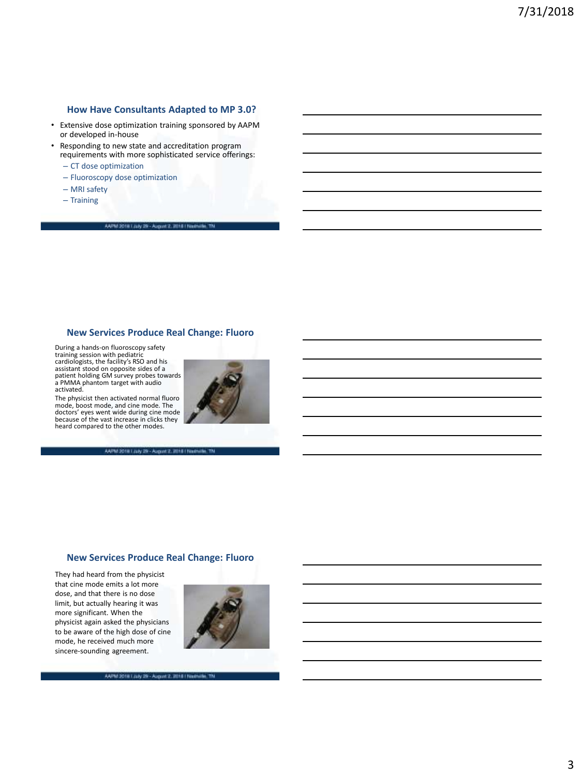# **How Have Consultants Adapted to MP 3.0?**

- Extensive dose optimization training sponsored by AAPM or developed in-house
- Responding to new state and accreditation program requirements with more sophisticated service offerings:

AAPM 2018 Ltdy 29 - August 2, 2018 | Nathville

- CT dose optimization
- Fluoroscopy dose optimization
- MRI safety
- Training

## **New Services Produce Real Change: Fluoro**

During a hands-on fluoroscopy safety training session with pediatric cardiologists, the facility's RSO and his assistant stood on opposite sides of a patient holding GM survey probes towards a PMMA phantom target with audio activated.

The physicist then activated normal fluoro mode, boost mode, and cine mode. The doctors' eyes went wide during cine mode because of the vast increase in clicks they heard compared to the other modes.



## **New Services Produce Real Change: Fluoro**

AAPM 2018 Ltdy 29 - August 2, 2018 | Nathele, TN

They had heard from the physicist that cine mode emits a lot more dose, and that there is no dose limit, but actually hearing it was more significant. When the physicist again asked the physicians to be aware of the high dose of cine mode, he received much more sincere-sounding agreement.

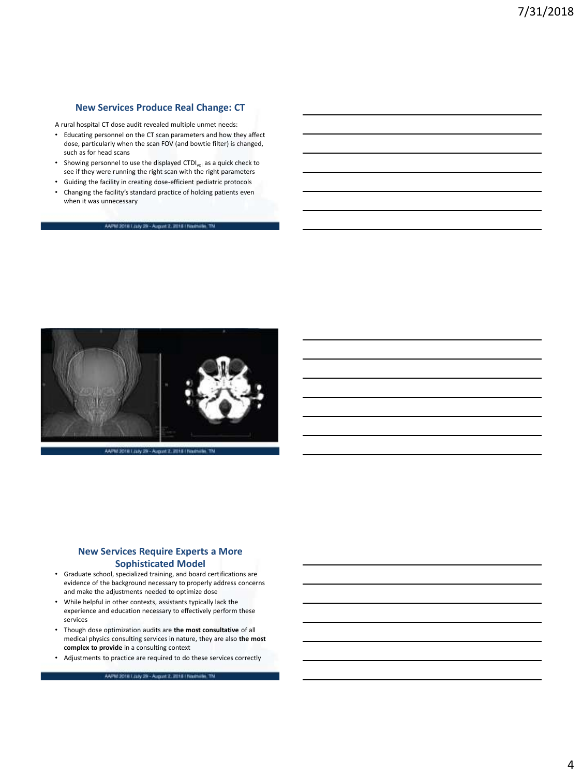# **New Services Produce Real Change: CT**

A rural hospital CT dose audit revealed multiple unmet needs:

- Educating personnel on the CT scan parameters and how they affect dose, particularly when the scan FOV (and bowtie filter) is changed, such as for head scans
- Showing personnel to use the displayed CTDI $_{vol}$  as a quick check to see if they were running the right scan with the right parameters
- Guiding the facility in creating dose-efficient pediatric protocols
- Changing the facility's standard practice of holding patients even when it was unnecessary

AAPM 2018 Ltdy 29 - August 2, 2018 | Nathville, TN



AAPM 2018 | July 29 - August 2, 2018 | Nathulle, TN

# **New Services Require Experts a More Sophisticated Model**

- Graduate school, specialized training, and board certifications are evidence of the background necessary to properly address concerns and make the adjustments needed to optimize dose
- While helpful in other contexts, assistants typically lack the experience and education necessary to effectively perform these services
- Though dose optimization audits are **the most consultative** of all medical physics consulting services in nature, they are also **the most complex to provide** in a consulting context
- Adjustments to practice are required to do these services correctly

AAPM 2018 Ltdy 29 - August 2, 2018 / Nathville, TN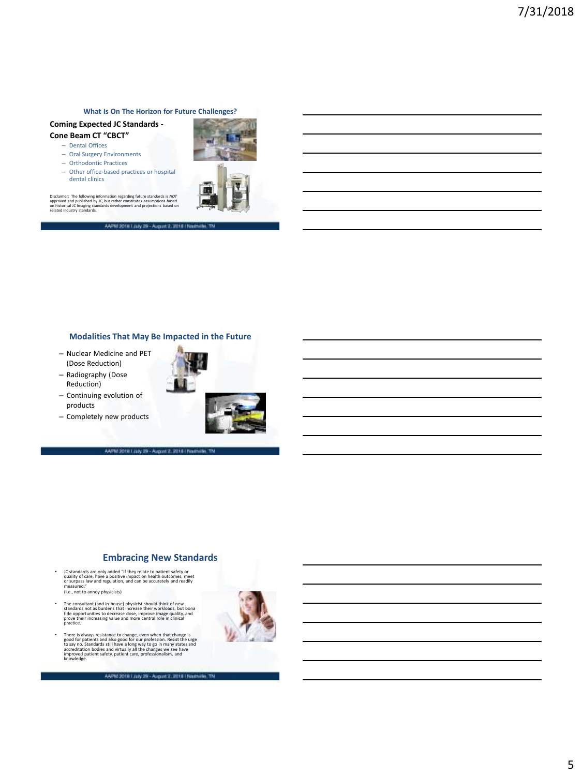#### **What Is On The Horizon for Future Challenges?**

# **Coming Expected JC Standards -**

#### **Cone Beam CT "CBCT"** – Dental Offices

- Oral Surgery Environments
- Orthodontic Practices
- Other office-based practices or hospital dental clinics

Disclaimer: The following information regarding future standards is NOT<br>approved and published by JC, but rather constitutes assumptions based<br>on historical JC Imaging standards development and projections based on<br>related



## **Modalities That May Be Impacted in the Future**

AAPM 2018 Ltdy 29 - August 2, 2018 / Nathville, TN

- Nuclear Medicine and PET (Dose Reduction) – Radiography (Dose
- Reduction)
- Continuing evolution of products
- Completely new products



# **Embracing New Standards**

AAPM 2018 Ltdy 29 - August 2, 2018 | Nathville, TN

• JC standards are only added "if they relate to patient safety or quality of care, have a positive impact on health outcomes, meet or surpass law and regulation, and can be accurately and readily measured."

(i.e., not to annoy physicists)

- The consultant (and in-house) physicist should think of new<br>standards not as burdens that increase their workloads, but bona<br>fide opportunities to decrease dose, improve image quality, and<br>prove their increasing value and
- There is always resistance to change, even when that change is<br>good for patients and also good for our profession. Resist the urge<br>to say no. Standards still have a long way to go in many state and<br>accreditation bodies and



AAPM 2018 Ltdy 29 - August 2, 2018 | Nashville, TN